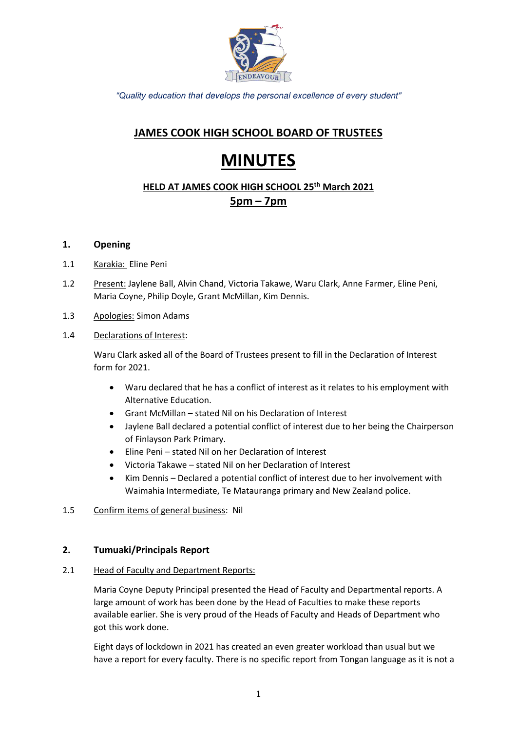

*"Quality education that* develops the personal excellence of every student"

# **JAMES COOK HIGH SCHOOL BOARD OF TRUSTEES**

# **MINUTES**

# **HELD AT JAMES COOK HIGH SCHOOL 25th March 2021 5pm – 7pm**

### **1. Opening**

- 1.1 Karakia: Eline Peni
- 1.2 Present: Jaylene Ball, Alvin Chand, Victoria Takawe, Waru Clark, Anne Farmer, Eline Peni, Maria Coyne, Philip Doyle, Grant McMillan, Kim Dennis.
- 1.3 Apologies: Simon Adams
- 1.4 Declarations of Interest:

Waru Clark asked all of the Board of Trustees present to fill in the Declaration of Interest form for 2021.

- Waru declared that he has a conflict of interest as it relates to his employment with Alternative Education.
- Grant McMillan stated Nil on his Declaration of Interest
- Jaylene Ball declared a potential conflict of interest due to her being the Chairperson of Finlayson Park Primary.
- Eline Peni stated Nil on her Declaration of Interest
- Victoria Takawe stated Nil on her Declaration of Interest
- Kim Dennis Declared a potential conflict of interest due to her involvement with Waimahia Intermediate, Te Matauranga primary and New Zealand police.
- 1.5 Confirm items of general business: Nil

### **2. Tumuaki/Principals Report**

### 2.1 Head of Faculty and Department Reports:

Maria Coyne Deputy Principal presented the Head of Faculty and Departmental reports. A large amount of work has been done by the Head of Faculties to make these reports available earlier. She is very proud of the Heads of Faculty and Heads of Department who got this work done.

Eight days of lockdown in 2021 has created an even greater workload than usual but we have a report for every faculty. There is no specific report from Tongan language as it is not a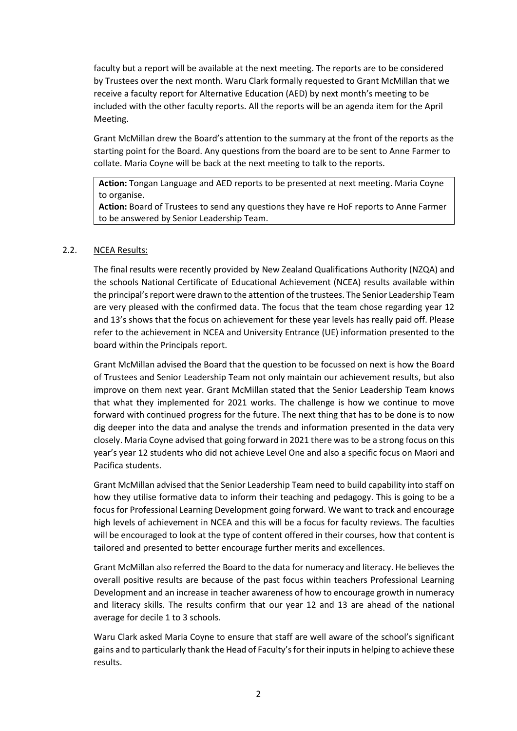faculty but a report will be available at the next meeting. The reports are to be considered by Trustees over the next month. Waru Clark formally requested to Grant McMillan that we receive a faculty report for Alternative Education (AED) by next month's meeting to be included with the other faculty reports. All the reports will be an agenda item for the April Meeting.

Grant McMillan drew the Board's attention to the summary at the front of the reports as the starting point for the Board. Any questions from the board are to be sent to Anne Farmer to collate. Maria Coyne will be back at the next meeting to talk to the reports.

**Action:** Tongan Language and AED reports to be presented at next meeting. Maria Coyne to organise.

**Action:** Board of Trustees to send any questions they have re HoF reports to Anne Farmer to be answered by Senior Leadership Team.

#### 2.2. NCEA Results:

The final results were recently provided by New Zealand Qualifications Authority (NZQA) and the schools National Certificate of Educational Achievement (NCEA) results available within the principal's report were drawn to the attention of the trustees. The Senior Leadership Team are very pleased with the confirmed data. The focus that the team chose regarding year 12 and 13's shows that the focus on achievement for these year levels has really paid off. Please refer to the achievement in NCEA and University Entrance (UE) information presented to the board within the Principals report.

Grant McMillan advised the Board that the question to be focussed on next is how the Board of Trustees and Senior Leadership Team not only maintain our achievement results, but also improve on them next year. Grant McMillan stated that the Senior Leadership Team knows that what they implemented for 2021 works. The challenge is how we continue to move forward with continued progress for the future. The next thing that has to be done is to now dig deeper into the data and analyse the trends and information presented in the data very closely. Maria Coyne advised that going forward in 2021 there was to be a strong focus on this year's year 12 students who did not achieve Level One and also a specific focus on Maori and Pacifica students.

Grant McMillan advised that the Senior Leadership Team need to build capability into staff on how they utilise formative data to inform their teaching and pedagogy. This is going to be a focus for Professional Learning Development going forward. We want to track and encourage high levels of achievement in NCEA and this will be a focus for faculty reviews. The faculties will be encouraged to look at the type of content offered in their courses, how that content is tailored and presented to better encourage further merits and excellences.

Grant McMillan also referred the Board to the data for numeracy and literacy. He believes the overall positive results are because of the past focus within teachers Professional Learning Development and an increase in teacher awareness of how to encourage growth in numeracy and literacy skills. The results confirm that our year 12 and 13 are ahead of the national average for decile 1 to 3 schools.

Waru Clark asked Maria Coyne to ensure that staff are well aware of the school's significant gains and to particularly thank the Head of Faculty's for their inputs in helping to achieve these results.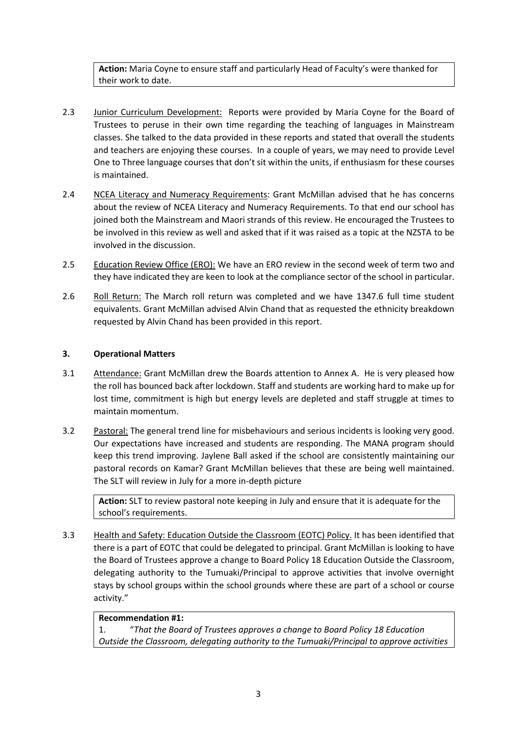**Action:** Maria Coyne to ensure staff and particularly Head of Faculty's were thanked for their work to date.

- 2.3 Junior Curriculum Development: Reports were provided by Maria Coyne for the Board of Trustees to peruse in their own time regarding the teaching of languages in Mainstream classes. She talked to the data provided in these reports and stated that overall the students and teachers are enjoying these courses. In a couple of years, we may need to provide Level One to Three language courses that don't sit within the units, if enthusiasm for these courses is maintained.
- 2.4 NCEA Literacy and Numeracy Requirements: Grant McMillan advised that he has concerns about the review of NCEA Literacy and Numeracy Requirements. To that end our school has joined both the Mainstream and Maori strands of this review. He encouraged the Trustees to be involved in this review as well and asked that if it was raised as a topic at the NZSTA to be involved in the discussion.
- 2.5 Education Review Office (ERO): We have an ERO review in the second week of term two and they have indicated they are keen to look at the compliance sector of the school in particular.
- 2.6 Roll Return: The March roll return was completed and we have 1347.6 full time student equivalents. Grant McMillan advised Alvin Chand that as requested the ethnicity breakdown requested by Alvin Chand has been provided in this report.

### **3. Operational Matters**

- 3.1 Attendance: Grant McMillan drew the Boards attention to Annex A. He is very pleased how the roll has bounced back after lockdown. Staff and students are working hard to make up for lost time, commitment is high but energy levels are depleted and staff struggle at times to maintain momentum.
- 3.2 Pastoral: The general trend line for misbehaviours and serious incidents is looking very good. Our expectations have increased and students are responding. The MANA program should keep this trend improving. Jaylene Ball asked if the school are consistently maintaining our pastoral records on Kamar? Grant McMillan believes that these are being well maintained. The SLT will review in July for a more in-depth picture

**Action:** SLT to review pastoral note keeping in July and ensure that it is adequate for the school's requirements.

3.3 Health and Safety: Education Outside the Classroom (EOTC) Policy. It has been identified that there is a part of EOTC that could be delegated to principal. Grant McMillan is looking to have the Board of Trustees approve a change to Board Policy 18 Education Outside the Classroom, delegating authority to the Tumuaki/Principal to approve activities that involve overnight stays by school groups within the school grounds where these are part of a school or course activity."

#### **Recommendation #1:**

1. "*That the Board of Trustees approves a change to Board Policy 18 Education Outside the Classroom, delegating authority to the Tumuaki/Principal to approve activities*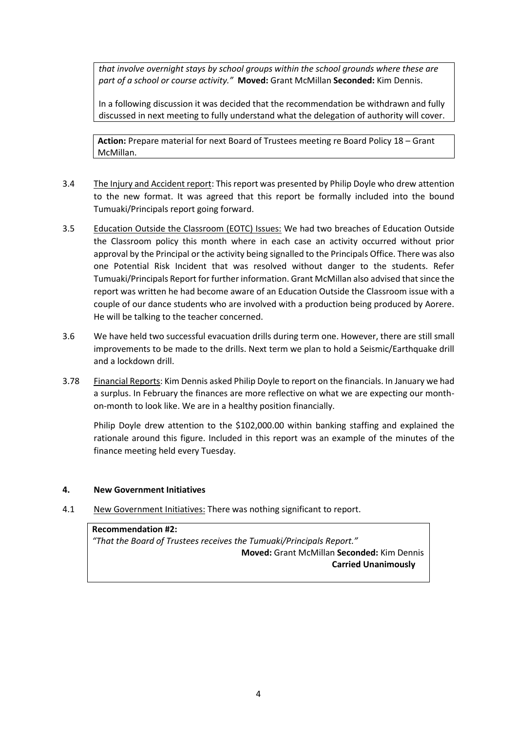*that involve overnight stays by school groups within the school grounds where these are part of a school or course activity."* **Moved:** Grant McMillan **Seconded:** Kim Dennis.

In a following discussion it was decided that the recommendation be withdrawn and fully discussed in next meeting to fully understand what the delegation of authority will cover.

**Action:** Prepare material for next Board of Trustees meeting re Board Policy 18 – Grant McMillan.

- 3.4 The Injury and Accident report: This report was presented by Philip Doyle who drew attention to the new format. It was agreed that this report be formally included into the bound Tumuaki/Principals report going forward.
- 3.5 Education Outside the Classroom (EOTC) Issues: We had two breaches of Education Outside the Classroom policy this month where in each case an activity occurred without prior approval by the Principal or the activity being signalled to the Principals Office. There was also one Potential Risk Incident that was resolved without danger to the students. Refer Tumuaki/Principals Report for further information. Grant McMillan also advised that since the report was written he had become aware of an Education Outside the Classroom issue with a couple of our dance students who are involved with a production being produced by Aorere. He will be talking to the teacher concerned.
- 3.6 We have held two successful evacuation drills during term one. However, there are still small improvements to be made to the drills. Next term we plan to hold a Seismic/Earthquake drill and a lockdown drill.
- 3.78 Financial Reports: Kim Dennis asked Philip Doyle to report on the financials. In January we had a surplus. In February the finances are more reflective on what we are expecting our monthon-month to look like. We are in a healthy position financially.

Philip Doyle drew attention to the \$102,000.00 within banking staffing and explained the rationale around this figure. Included in this report was an example of the minutes of the finance meeting held every Tuesday.

#### **4. New Government Initiatives**

4.1 New Government Initiatives: There was nothing significant to report.

**Recommendation #2:**  *"That the Board of Trustees receives the Tumuaki/Principals Report."*  **Moved:** Grant McMillan **Seconded:** Kim Dennis  **Carried Unanimously**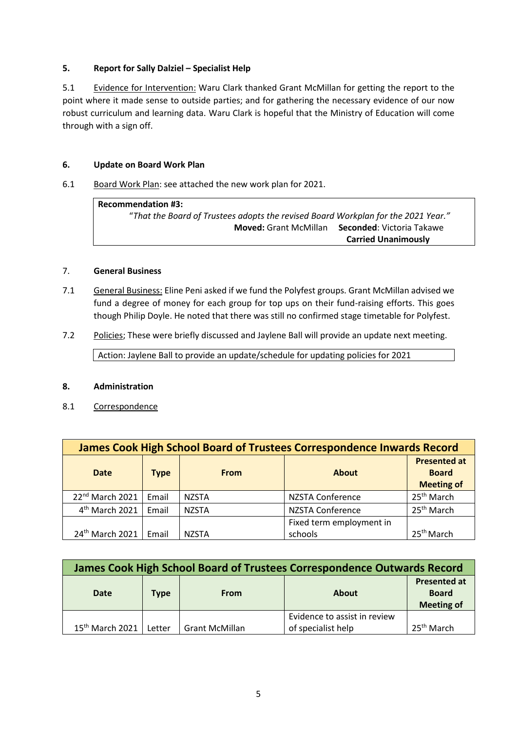### **5. Report for Sally Dalziel – Specialist Help**

5.1 Evidence for Intervention: Waru Clark thanked Grant McMillan for getting the report to the point where it made sense to outside parties; and for gathering the necessary evidence of our now robust curriculum and learning data. Waru Clark is hopeful that the Ministry of Education will come through with a sign off.

#### **6. Update on Board Work Plan**

6.1 Board Work Plan: see attached the new work plan for 2021.

**Recommendation #3:**  "*That the Board of Trustees adopts the revised Board Workplan for the 2021 Year."*  **Moved:** Grant McMillan **Seconded**: Victoria Takawe  **Carried Unanimously** 

#### 7. **General Business**

- 7.1 General Business: Eline Peni asked if we fund the Polyfest groups. Grant McMillan advised we fund a degree of money for each group for top ups on their fund-raising efforts. This goes though Philip Doyle. He noted that there was still no confirmed stage timetable for Polyfest.
- 7.2 Policies; These were briefly discussed and Jaylene Ball will provide an update next meeting.

Action: Jaylene Ball to provide an update/schedule for updating policies for 2021

#### **8. Administration**

8.1 Correspondence

| James Cook High School Board of Trustees Correspondence Inwards Record |             |              |                                     |                                                          |  |  |  |
|------------------------------------------------------------------------|-------------|--------------|-------------------------------------|----------------------------------------------------------|--|--|--|
| <b>Date</b>                                                            | <b>Type</b> | <b>From</b>  | <b>About</b>                        | <b>Presented at</b><br><b>Board</b><br><b>Meeting of</b> |  |  |  |
| 22 <sup>nd</sup> March 2021                                            | Email       | <b>NZSTA</b> | <b>NZSTA Conference</b>             | 25 <sup>th</sup> March                                   |  |  |  |
| 4 <sup>th</sup> March 2021                                             | Email       | <b>NZSTA</b> | <b>NZSTA Conference</b>             | 25 <sup>th</sup> March                                   |  |  |  |
| 24 <sup>th</sup> March 2021                                            | Email       | <b>NZSTA</b> | Fixed term employment in<br>schools | 25 <sup>th</sup> March                                   |  |  |  |

| James Cook High School Board of Trustees Correspondence Outwards Record |             |                       |                                                    |                                                          |  |  |  |
|-------------------------------------------------------------------------|-------------|-----------------------|----------------------------------------------------|----------------------------------------------------------|--|--|--|
| <b>Date</b>                                                             | <b>Type</b> | <b>From</b>           | <b>About</b>                                       | <b>Presented at</b><br><b>Board</b><br><b>Meeting of</b> |  |  |  |
| $15th$ March 2021                                                       | Letter      | <b>Grant McMillan</b> | Evidence to assist in review<br>of specialist help | 25 <sup>th</sup> March                                   |  |  |  |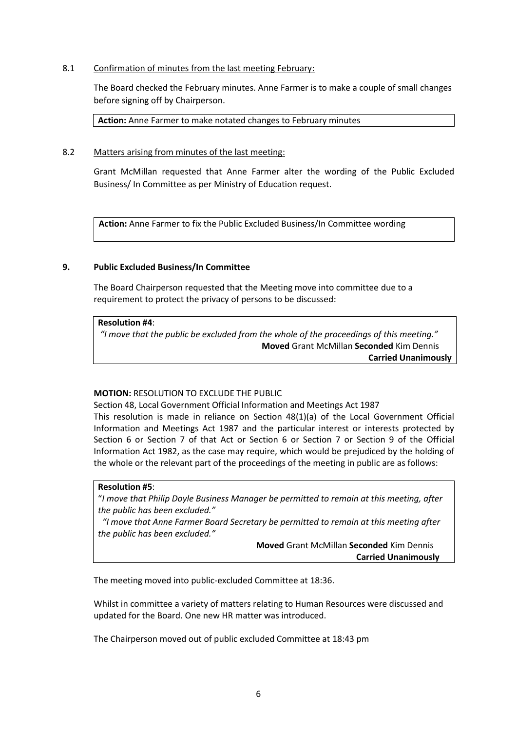#### 8.1 Confirmation of minutes from the last meeting February:

The Board checked the February minutes. Anne Farmer is to make a couple of small changes before signing off by Chairperson.

**Action:** Anne Farmer to make notated changes to February minutes

#### 8.2 Matters arising from minutes of the last meeting:

Grant McMillan requested that Anne Farmer alter the wording of the Public Excluded Business/ In Committee as per Ministry of Education request.

**Action:** Anne Farmer to fix the Public Excluded Business/In Committee wording

#### **9. Public Excluded Business/In Committee**

The Board Chairperson requested that the Meeting move into committee due to a requirement to protect the privacy of persons to be discussed:

#### **Resolution #4**:

*"I move that the public be excluded from the whole of the proceedings of this meeting."* **Moved** Grant McMillan **Seconded** Kim Dennis **Carried Unanimously** 

#### **MOTION:** RESOLUTION TO EXCLUDE THE PUBLIC

Section 48, Local Government Official Information and Meetings Act 1987 This resolution is made in reliance on Section 48(1)(a) of the Local Government Official Information and Meetings Act 1987 and the particular interest or interests protected by

Section 6 or Section 7 of that Act or Section 6 or Section 7 or Section 9 of the Official Information Act 1982, as the case may require, which would be prejudiced by the holding of the whole or the relevant part of the proceedings of the meeting in public are as follows:

#### **Resolution #5**:

"*I move that Philip Doyle Business Manager be permitted to remain at this meeting, after the public has been excluded."*

 *"I move that Anne Farmer Board Secretary be permitted to remain at this meeting after the public has been excluded."* 

> **Moved** Grant McMillan **Seconded** Kim Dennis  **Carried Unanimously**

The meeting moved into public-excluded Committee at 18:36.

Whilst in committee a variety of matters relating to Human Resources were discussed and updated for the Board. One new HR matter was introduced.

The Chairperson moved out of public excluded Committee at 18:43 pm